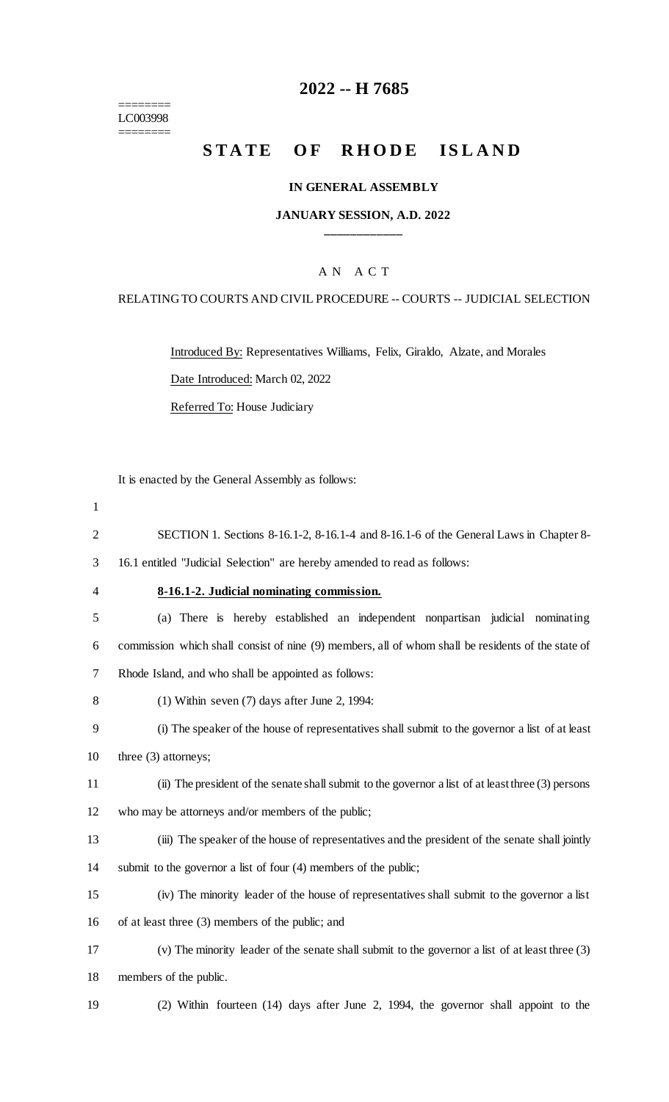======== LC003998 ========

## **2022 -- H 7685**

# **STATE OF RHODE ISLAND**

#### **IN GENERAL ASSEMBLY**

#### **JANUARY SESSION, A.D. 2022 \_\_\_\_\_\_\_\_\_\_\_\_**

## A N A C T

#### RELATING TO COURTS AND CIVIL PROCEDURE -- COURTS -- JUDICIAL SELECTION

Introduced By: Representatives Williams, Felix, Giraldo, Alzate, and Morales Date Introduced: March 02, 2022 Referred To: House Judiciary

It is enacted by the General Assembly as follows:

- 1 2 SECTION 1. Sections 8-16.1-2, 8-16.1-4 and 8-16.1-6 of the General Laws in Chapter 8- 3 16.1 entitled "Judicial Selection" are hereby amended to read as follows: 4 **8-16.1-2. Judicial nominating commission.** 5 (a) There is hereby established an independent nonpartisan judicial nominating 6 commission which shall consist of nine (9) members, all of whom shall be residents of the state of 7 Rhode Island, and who shall be appointed as follows: 8 (1) Within seven (7) days after June 2, 1994: 9 (i) The speaker of the house of representatives shall submit to the governor a list of at least 10 three (3) attorneys; 11 (ii) The president of the senate shall submit to the governor a list of at least three (3) persons 12 who may be attorneys and/or members of the public; 13 (iii) The speaker of the house of representatives and the president of the senate shall jointly 14 submit to the governor a list of four (4) members of the public; 15 (iv) The minority leader of the house of representatives shall submit to the governor a list
- 16 of at least three (3) members of the public; and

17 (v) The minority leader of the senate shall submit to the governor a list of at least three (3) 18 members of the public.

19 (2) Within fourteen (14) days after June 2, 1994, the governor shall appoint to the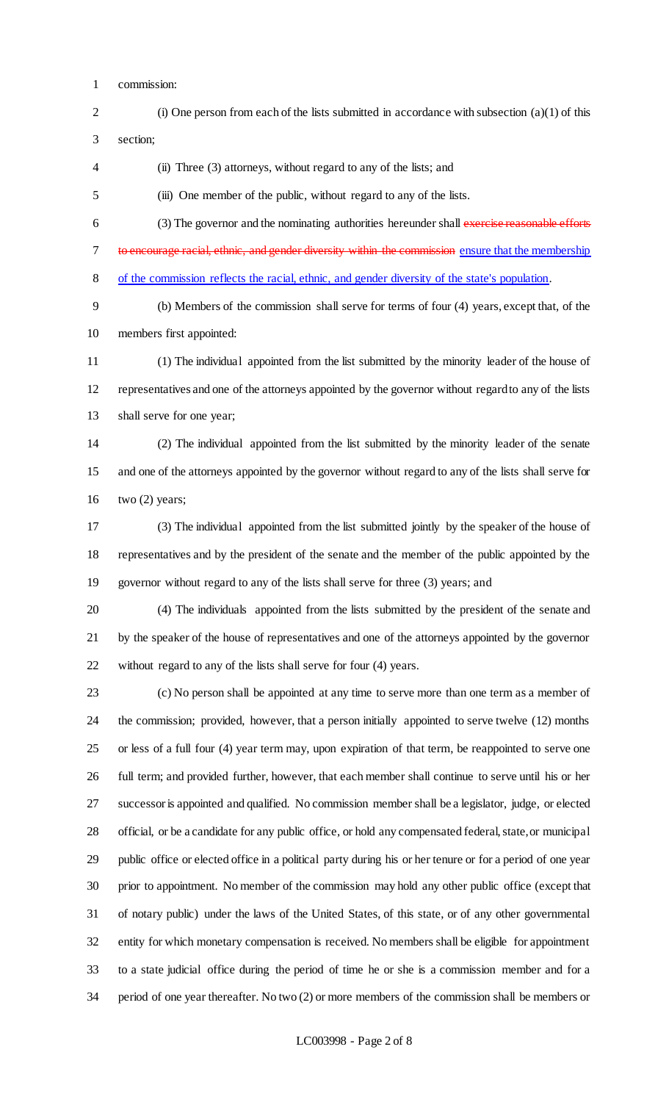- commission:
- (i) One person from each of the lists submitted in accordance with subsection (a)(1) of this section;

(ii) Three (3) attorneys, without regard to any of the lists; and

(iii) One member of the public, without regard to any of the lists.

 (3) The governor and the nominating authorities hereunder shall exercise reasonable efforts 7 to encourage racial, ethnic, and gender diversity within the commission ensure that the membership of the commission reflects the racial, ethnic, and gender diversity of the state's population.

 (b) Members of the commission shall serve for terms of four (4) years, except that, of the members first appointed:

 (1) The individual appointed from the list submitted by the minority leader of the house of representatives and one of the attorneys appointed by the governor without regard to any of the lists shall serve for one year;

 (2) The individual appointed from the list submitted by the minority leader of the senate and one of the attorneys appointed by the governor without regard to any of the lists shall serve for 16 two  $(2)$  years;

 (3) The individual appointed from the list submitted jointly by the speaker of the house of representatives and by the president of the senate and the member of the public appointed by the governor without regard to any of the lists shall serve for three (3) years; and

 (4) The individuals appointed from the lists submitted by the president of the senate and by the speaker of the house of representatives and one of the attorneys appointed by the governor without regard to any of the lists shall serve for four (4) years.

 (c) No person shall be appointed at any time to serve more than one term as a member of the commission; provided, however, that a person initially appointed to serve twelve (12) months or less of a full four (4) year term may, upon expiration of that term, be reappointed to serve one full term; and provided further, however, that each member shall continue to serve until his or her successor is appointed and qualified. No commission member shall be a legislator, judge, or elected official, or be a candidate for any public office, or hold any compensated federal, state, or municipal public office or elected office in a political party during his or her tenure or for a period of one year prior to appointment. No member of the commission may hold any other public office (except that of notary public) under the laws of the United States, of this state, or of any other governmental entity for which monetary compensation is received. No members shall be eligible for appointment to a state judicial office during the period of time he or she is a commission member and for a period of one year thereafter. No two (2) or more members of the commission shall be members or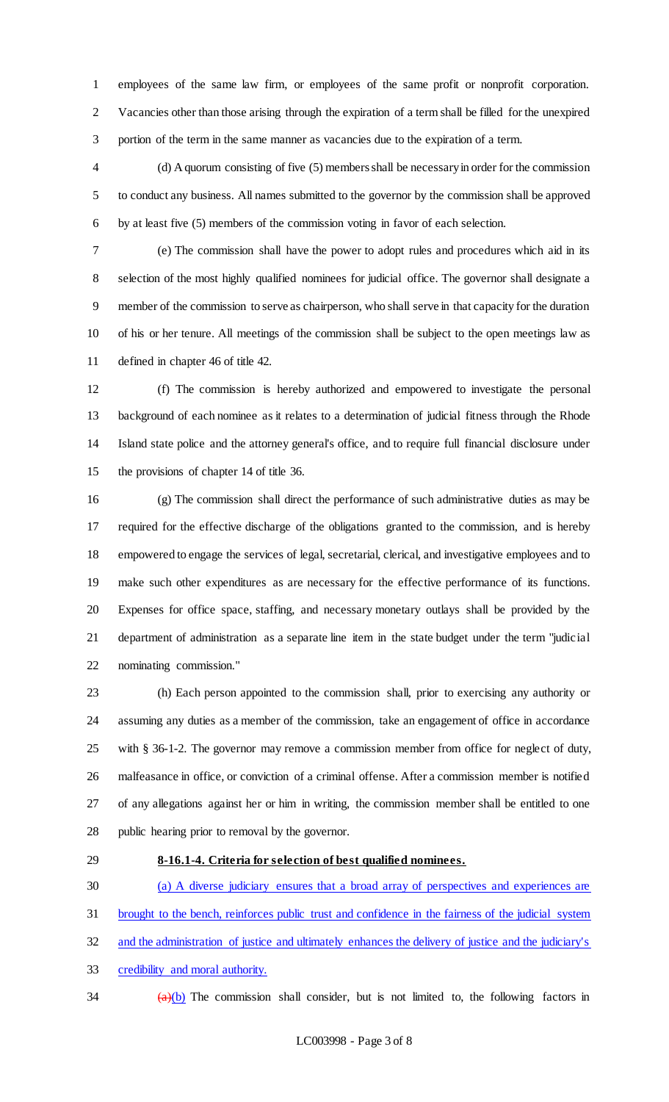employees of the same law firm, or employees of the same profit or nonprofit corporation. Vacancies other than those arising through the expiration of a term shall be filled for the unexpired portion of the term in the same manner as vacancies due to the expiration of a term.

 (d) A quorum consisting of five (5) members shall be necessary in order for the commission to conduct any business. All names submitted to the governor by the commission shall be approved by at least five (5) members of the commission voting in favor of each selection.

 (e) The commission shall have the power to adopt rules and procedures which aid in its selection of the most highly qualified nominees for judicial office. The governor shall designate a member of the commission to serve as chairperson, who shall serve in that capacity for the duration of his or her tenure. All meetings of the commission shall be subject to the open meetings law as defined in chapter 46 of title 42.

 (f) The commission is hereby authorized and empowered to investigate the personal background of each nominee as it relates to a determination of judicial fitness through the Rhode Island state police and the attorney general's office, and to require full financial disclosure under the provisions of chapter 14 of title 36.

 (g) The commission shall direct the performance of such administrative duties as may be required for the effective discharge of the obligations granted to the commission, and is hereby empowered to engage the services of legal, secretarial, clerical, and investigative employees and to make such other expenditures as are necessary for the effective performance of its functions. Expenses for office space, staffing, and necessary monetary outlays shall be provided by the department of administration as a separate line item in the state budget under the term "judicial nominating commission."

 (h) Each person appointed to the commission shall, prior to exercising any authority or assuming any duties as a member of the commission, take an engagement of office in accordance with § 36-1-2. The governor may remove a commission member from office for neglect of duty, malfeasance in office, or conviction of a criminal offense. After a commission member is notified of any allegations against her or him in writing, the commission member shall be entitled to one public hearing prior to removal by the governor.

## **8-16.1-4. Criteria for selection of best qualified nominees.**

 (a) A diverse judiciary ensures that a broad array of perspectives and experiences are brought to the bench, reinforces public trust and confidence in the fairness of the judicial system and the administration of justice and ultimately enhances the delivery of justice and the judiciary's

credibility and moral authority.

 $\frac{34}{2}$  (a)(b) The commission shall consider, but is not limited to, the following factors in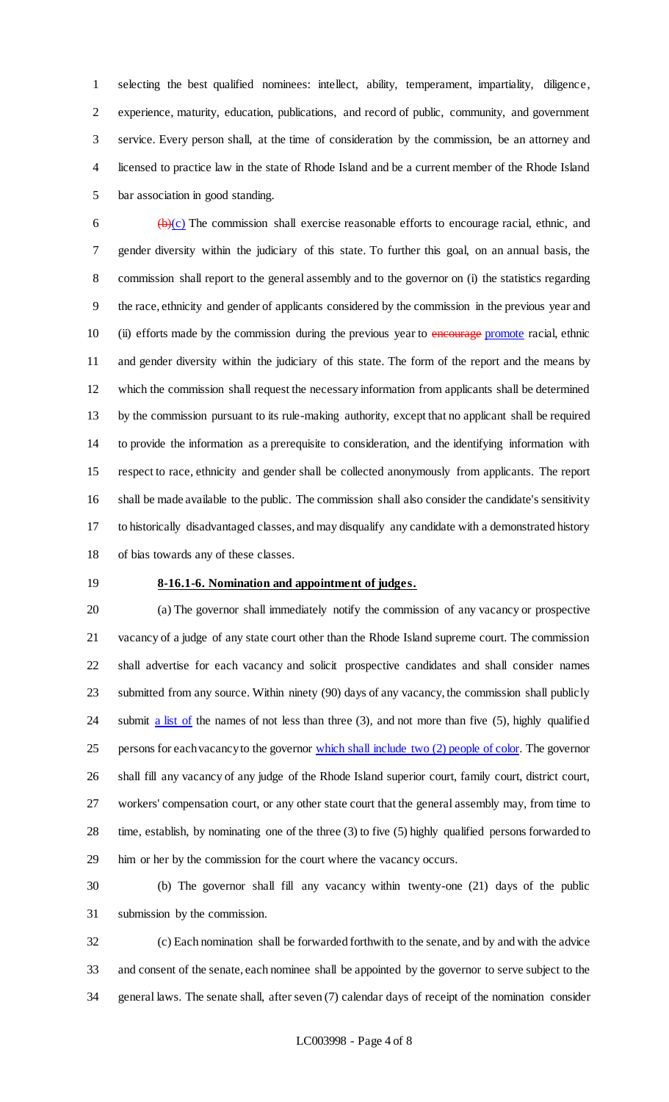selecting the best qualified nominees: intellect, ability, temperament, impartiality, diligence, experience, maturity, education, publications, and record of public, community, and government service. Every person shall, at the time of consideration by the commission, be an attorney and licensed to practice law in the state of Rhode Island and be a current member of the Rhode Island bar association in good standing.

 $\frac{1}{2}$  (b)(c) The commission shall exercise reasonable efforts to encourage racial, ethnic, and gender diversity within the judiciary of this state. To further this goal, on an annual basis, the commission shall report to the general assembly and to the governor on (i) the statistics regarding the race, ethnicity and gender of applicants considered by the commission in the previous year and 10 (ii) efforts made by the commission during the previous year to **encourage** promote racial, ethnic and gender diversity within the judiciary of this state. The form of the report and the means by which the commission shall request the necessary information from applicants shall be determined by the commission pursuant to its rule-making authority, except that no applicant shall be required to provide the information as a prerequisite to consideration, and the identifying information with respect to race, ethnicity and gender shall be collected anonymously from applicants. The report shall be made available to the public. The commission shall also consider the candidate's sensitivity to historically disadvantaged classes, and may disqualify any candidate with a demonstrated history of bias towards any of these classes.

#### **8-16.1-6. Nomination and appointment of judges.**

 (a) The governor shall immediately notify the commission of any vacancy or prospective vacancy of a judge of any state court other than the Rhode Island supreme court. The commission shall advertise for each vacancy and solicit prospective candidates and shall consider names submitted from any source. Within ninety (90) days of any vacancy, the commission shall publicly 24 submit a list of the names of not less than three (3), and not more than five (5), highly qualified 25 persons for each vacancy to the governor which shall include two (2) people of color. The governor shall fill any vacancy of any judge of the Rhode Island superior court, family court, district court, workers' compensation court, or any other state court that the general assembly may, from time to time, establish, by nominating one of the three (3) to five (5) highly qualified persons forwarded to him or her by the commission for the court where the vacancy occurs.

 (b) The governor shall fill any vacancy within twenty-one (21) days of the public submission by the commission.

 (c) Each nomination shall be forwarded forthwith to the senate, and by and with the advice and consent of the senate, each nominee shall be appointed by the governor to serve subject to the general laws. The senate shall, after seven (7) calendar days of receipt of the nomination consider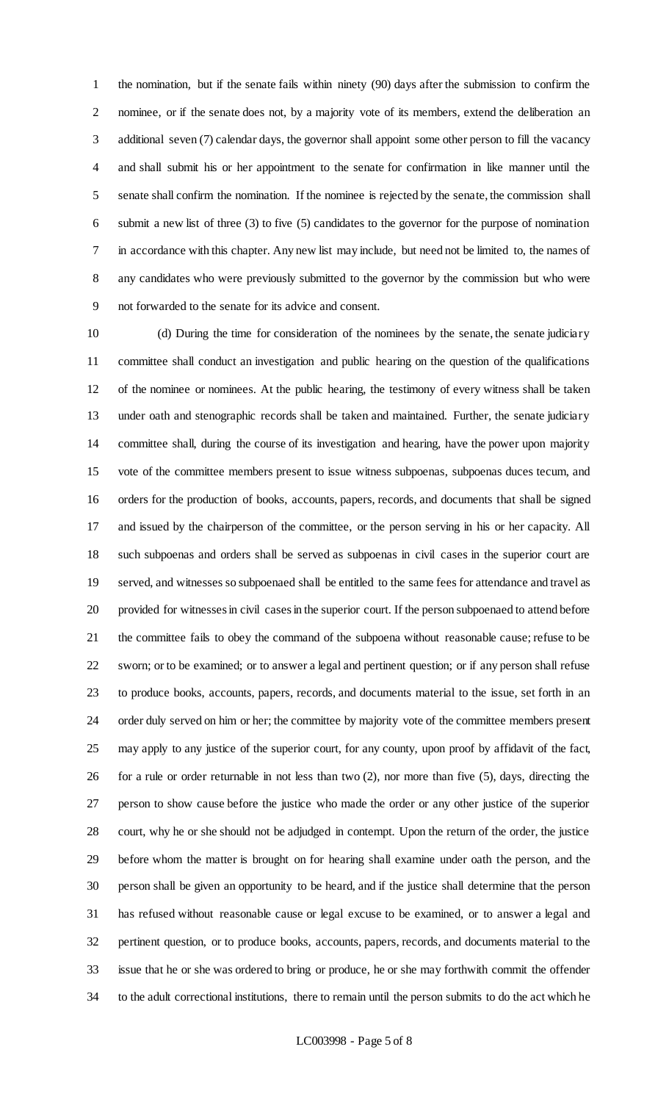the nomination, but if the senate fails within ninety (90) days after the submission to confirm the nominee, or if the senate does not, by a majority vote of its members, extend the deliberation an additional seven (7) calendar days, the governor shall appoint some other person to fill the vacancy and shall submit his or her appointment to the senate for confirmation in like manner until the senate shall confirm the nomination. If the nominee is rejected by the senate, the commission shall submit a new list of three (3) to five (5) candidates to the governor for the purpose of nomination in accordance with this chapter. Any new list may include, but need not be limited to, the names of any candidates who were previously submitted to the governor by the commission but who were not forwarded to the senate for its advice and consent.

 (d) During the time for consideration of the nominees by the senate, the senate judiciary committee shall conduct an investigation and public hearing on the question of the qualifications of the nominee or nominees. At the public hearing, the testimony of every witness shall be taken under oath and stenographic records shall be taken and maintained. Further, the senate judiciary committee shall, during the course of its investigation and hearing, have the power upon majority vote of the committee members present to issue witness subpoenas, subpoenas duces tecum, and orders for the production of books, accounts, papers, records, and documents that shall be signed and issued by the chairperson of the committee, or the person serving in his or her capacity. All such subpoenas and orders shall be served as subpoenas in civil cases in the superior court are served, and witnesses so subpoenaed shall be entitled to the same fees for attendance and travel as provided for witnesses in civil cases in the superior court. If the person subpoenaed to attend before the committee fails to obey the command of the subpoena without reasonable cause; refuse to be sworn; or to be examined; or to answer a legal and pertinent question; or if any person shall refuse to produce books, accounts, papers, records, and documents material to the issue, set forth in an order duly served on him or her; the committee by majority vote of the committee members present may apply to any justice of the superior court, for any county, upon proof by affidavit of the fact, for a rule or order returnable in not less than two (2), nor more than five (5), days, directing the person to show cause before the justice who made the order or any other justice of the superior court, why he or she should not be adjudged in contempt. Upon the return of the order, the justice before whom the matter is brought on for hearing shall examine under oath the person, and the person shall be given an opportunity to be heard, and if the justice shall determine that the person has refused without reasonable cause or legal excuse to be examined, or to answer a legal and pertinent question, or to produce books, accounts, papers, records, and documents material to the issue that he or she was ordered to bring or produce, he or she may forthwith commit the offender to the adult correctional institutions, there to remain until the person submits to do the act which he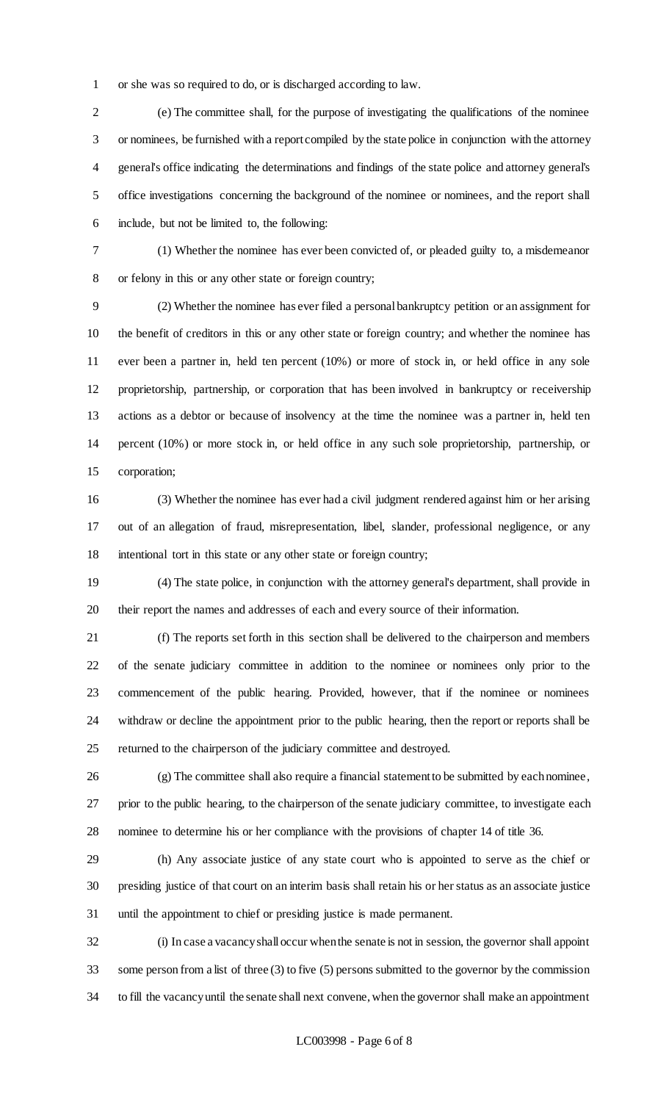or she was so required to do, or is discharged according to law.

 (e) The committee shall, for the purpose of investigating the qualifications of the nominee or nominees, be furnished with a report compiled by the state police in conjunction with the attorney general's office indicating the determinations and findings of the state police and attorney general's office investigations concerning the background of the nominee or nominees, and the report shall include, but not be limited to, the following:

 (1) Whether the nominee has ever been convicted of, or pleaded guilty to, a misdemeanor or felony in this or any other state or foreign country;

 (2) Whether the nominee has ever filed a personal bankruptcy petition or an assignment for the benefit of creditors in this or any other state or foreign country; and whether the nominee has ever been a partner in, held ten percent (10%) or more of stock in, or held office in any sole proprietorship, partnership, or corporation that has been involved in bankruptcy or receivership actions as a debtor or because of insolvency at the time the nominee was a partner in, held ten percent (10%) or more stock in, or held office in any such sole proprietorship, partnership, or corporation;

 (3) Whether the nominee has ever had a civil judgment rendered against him or her arising out of an allegation of fraud, misrepresentation, libel, slander, professional negligence, or any intentional tort in this state or any other state or foreign country;

 (4) The state police, in conjunction with the attorney general's department, shall provide in their report the names and addresses of each and every source of their information.

 (f) The reports set forth in this section shall be delivered to the chairperson and members of the senate judiciary committee in addition to the nominee or nominees only prior to the commencement of the public hearing. Provided, however, that if the nominee or nominees withdraw or decline the appointment prior to the public hearing, then the report or reports shall be returned to the chairperson of the judiciary committee and destroyed.

 (g) The committee shall also require a financial statement to be submitted by each nominee, prior to the public hearing, to the chairperson of the senate judiciary committee, to investigate each nominee to determine his or her compliance with the provisions of chapter 14 of title 36.

 (h) Any associate justice of any state court who is appointed to serve as the chief or presiding justice of that court on an interim basis shall retain his or her status as an associate justice until the appointment to chief or presiding justice is made permanent.

 (i) In case a vacancy shall occur when the senate is not in session, the governor shall appoint some person from a list of three (3) to five (5) persons submitted to the governor by the commission to fill the vacancy until the senate shall next convene, when the governor shall make an appointment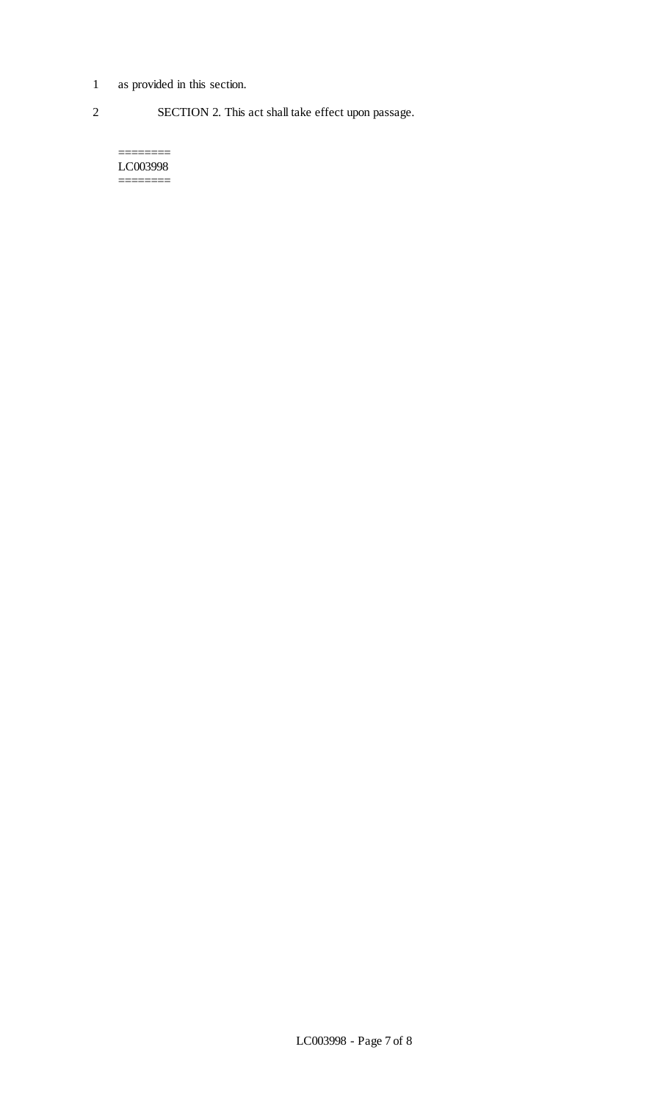1 as provided in this section.

 $=$ 

2 SECTION 2. This act shall take effect upon passage.

LC003998 ========